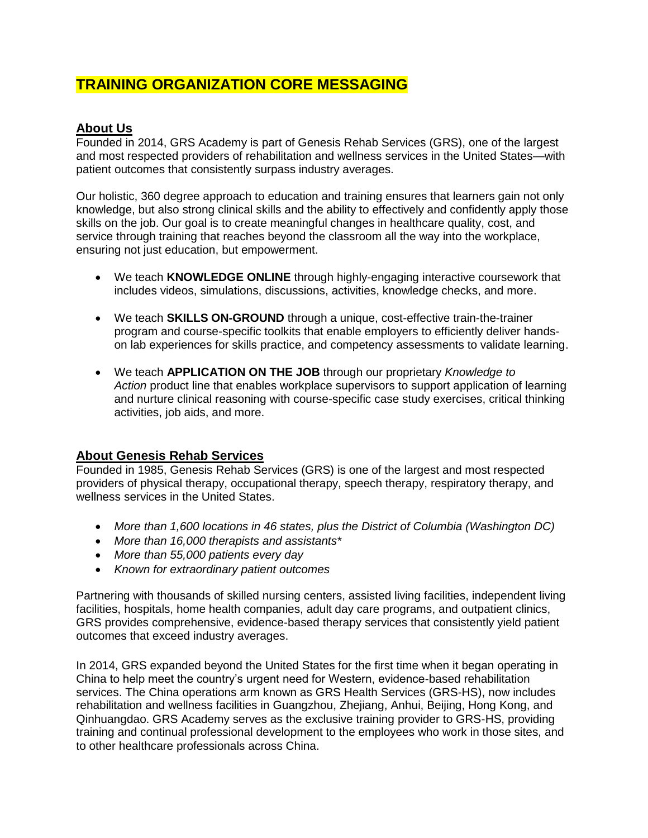# **TRAINING ORGANIZATION CORE MESSAGING**

# **About Us**

Founded in 2014, GRS Academy is part of Genesis Rehab Services (GRS), one of the largest and most respected providers of rehabilitation and wellness services in the United States—with patient outcomes that consistently surpass industry averages.

Our holistic, 360 degree approach to education and training ensures that learners gain not only knowledge, but also strong clinical skills and the ability to effectively and confidently apply those skills on the job. Our goal is to create meaningful changes in healthcare quality, cost, and service through training that reaches beyond the classroom all the way into the workplace, ensuring not just education, but empowerment.

- We teach **KNOWLEDGE ONLINE** through highly-engaging interactive coursework that includes videos, simulations, discussions, activities, knowledge checks, and more.
- We teach **SKILLS ON-GROUND** through a unique, cost-effective train-the-trainer program and course-specific toolkits that enable employers to efficiently deliver handson lab experiences for skills practice, and competency assessments to validate learning.
- We teach **APPLICATION ON THE JOB** through our proprietary *Knowledge to Action* product line that enables workplace supervisors to support application of learning and nurture clinical reasoning with course-specific case study exercises, critical thinking activities, job aids, and more.

# **About Genesis Rehab Services**

Founded in 1985, Genesis Rehab Services (GRS) is one of the largest and most respected providers of physical therapy, occupational therapy, speech therapy, respiratory therapy, and wellness services in the United States.

- *More than 1,600 locations in 46 states, plus the District of Columbia (Washington DC)*
- *More than 16,000 therapists and assistants\**
- *More than 55,000 patients every day*
- *Known for extraordinary patient outcomes*

Partnering with thousands of skilled nursing centers, assisted living facilities, independent living facilities, hospitals, home health companies, adult day care programs, and outpatient clinics, GRS provides comprehensive, evidence-based therapy services that consistently yield patient outcomes that exceed industry averages.

In 2014, GRS expanded beyond the United States for the first time when it began operating in China to help meet the country's urgent need for Western, evidence-based rehabilitation services. The China operations arm known as GRS Health Services (GRS-HS), now includes rehabilitation and wellness facilities in Guangzhou, Zhejiang, Anhui, Beijing, Hong Kong, and Qinhuangdao. GRS Academy serves as the exclusive training provider to GRS-HS, providing training and continual professional development to the employees who work in those sites, and to other healthcare professionals across China.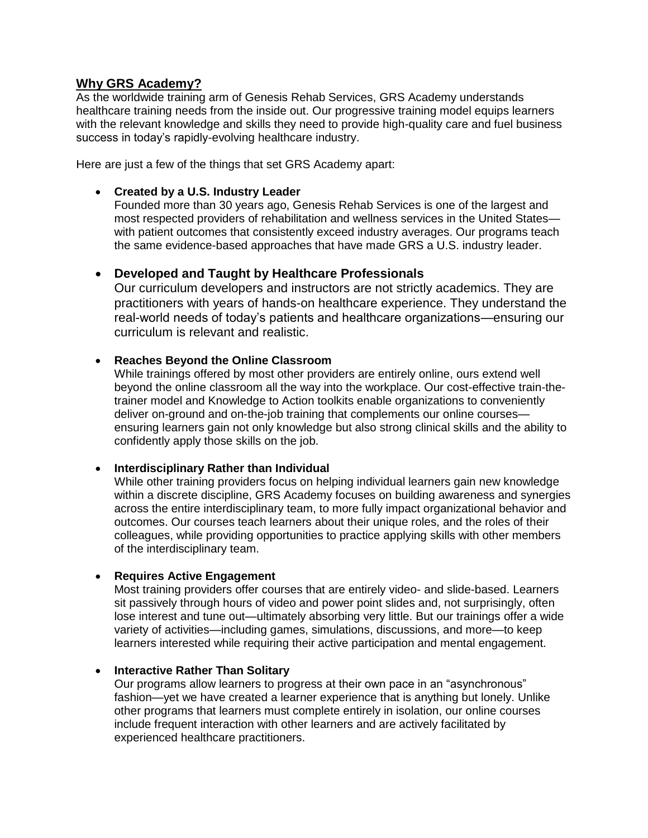## **Why GRS Academy?**

As the worldwide training arm of Genesis Rehab Services, GRS Academy understands healthcare training needs from the inside out. Our progressive training model equips learners with the relevant knowledge and skills they need to provide high-quality care and fuel business success in today's rapidly-evolving healthcare industry.

Here are just a few of the things that set GRS Academy apart:

### **Created by a U.S. Industry Leader**

Founded more than 30 years ago, Genesis Rehab Services is one of the largest and most respected providers of rehabilitation and wellness services in the United States with patient outcomes that consistently exceed industry averages. Our programs teach the same evidence-based approaches that have made GRS a U.S. industry leader.

# **Developed and Taught by Healthcare Professionals**

Our curriculum developers and instructors are not strictly academics. They are practitioners with years of hands-on healthcare experience. They understand the real-world needs of today's patients and healthcare organizations—ensuring our curriculum is relevant and realistic.

## **Reaches Beyond the Online Classroom**

While trainings offered by most other providers are entirely online, ours extend well beyond the online classroom all the way into the workplace. Our cost-effective train-thetrainer model and Knowledge to Action toolkits enable organizations to conveniently deliver on-ground and on-the-job training that complements our online courses ensuring learners gain not only knowledge but also strong clinical skills and the ability to confidently apply those skills on the job.

#### **Interdisciplinary Rather than Individual**

While other training providers focus on helping individual learners gain new knowledge within a discrete discipline, GRS Academy focuses on building awareness and synergies across the entire interdisciplinary team, to more fully impact organizational behavior and outcomes. Our courses teach learners about their unique roles, and the roles of their colleagues, while providing opportunities to practice applying skills with other members of the interdisciplinary team.

#### **Requires Active Engagement**

Most training providers offer courses that are entirely video- and slide-based. Learners sit passively through hours of video and power point slides and, not surprisingly, often lose interest and tune out—ultimately absorbing very little. But our trainings offer a wide variety of activities—including games, simulations, discussions, and more—to keep learners interested while requiring their active participation and mental engagement.

#### **Interactive Rather Than Solitary**

Our programs allow learners to progress at their own pace in an "asynchronous" fashion—yet we have created a learner experience that is anything but lonely. Unlike other programs that learners must complete entirely in isolation, our online courses include frequent interaction with other learners and are actively facilitated by experienced healthcare practitioners.